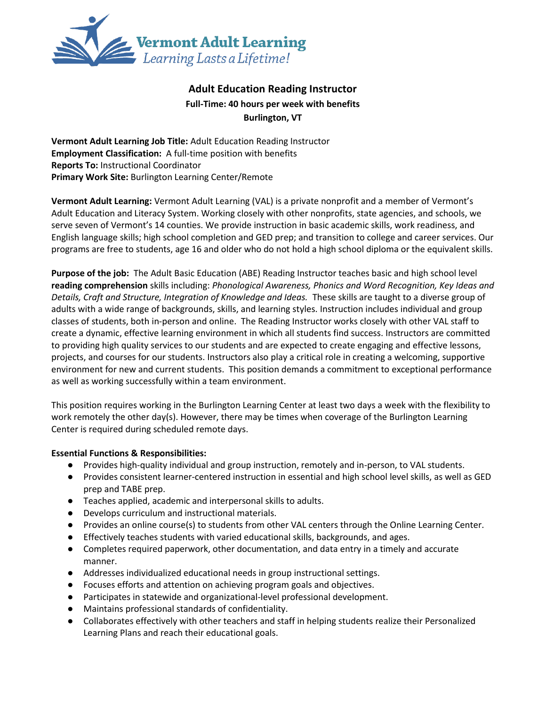

# **Adult Education Reading Instructor Full-Time: 40 hours per week with benefits Burlington, VT**

**Vermont Adult Learning Job Title:** Adult Education Reading Instructor **Employment Classification:** A full-time position with benefits **Reports To:** Instructional Coordinator **Primary Work Site:** Burlington Learning Center/Remote

**Vermont Adult Learning:** Vermont Adult Learning (VAL) is a private nonprofit and a member of Vermont's Adult Education and Literacy System. Working closely with other nonprofits, state agencies, and schools, we serve seven of Vermont's 14 counties. We provide instruction in basic academic skills, work readiness, and English language skills; high school completion and GED prep; and transition to college and career services. Our programs are free to students, age 16 and older who do not hold a high school diploma or the equivalent skills.

**Purpose of the job:** The Adult Basic Education (ABE) Reading Instructor teaches basic and high school level **reading comprehension** skills including: *Phonological Awareness, Phonics and Word Recognition, Key Ideas and Details, Craft and Structure, Integration of Knowledge and Ideas.* These skills are taught to a diverse group of adults with a wide range of backgrounds, skills, and learning styles. Instruction includes individual and group classes of students, both in-person and online. The Reading Instructor works closely with other VAL staff to create a dynamic, effective learning environment in which all students find success. Instructors are committed to providing high quality services to our students and are expected to create engaging and effective lessons, projects, and courses for our students. Instructors also play a critical role in creating a welcoming, supportive environment for new and current students. This position demands a commitment to exceptional performance as well as working successfully within a team environment.

This position requires working in the Burlington Learning Center at least two days a week with the flexibility to work remotely the other day(s). However, there may be times when coverage of the Burlington Learning Center is required during scheduled remote days.

### **Essential Functions & Responsibilities:**

- Provides high-quality individual and group instruction, remotely and in-person, to VAL students.
- Provides consistent learner-centered instruction in essential and high school level skills, as well as GED prep and TABE prep.
- Teaches applied, academic and interpersonal skills to adults.
- Develops curriculum and instructional materials.
- Provides an online course(s) to students from other VAL centers through the Online Learning Center.
- Effectively teaches students with varied educational skills, backgrounds, and ages.
- Completes required paperwork, other documentation, and data entry in a timely and accurate manner.
- Addresses individualized educational needs in group instructional settings.
- Focuses efforts and attention on achieving program goals and objectives.
- Participates in statewide and organizational-level professional development.
- Maintains professional standards of confidentiality.
- Collaborates effectively with other teachers and staff in helping students realize their Personalized Learning Plans and reach their educational goals.